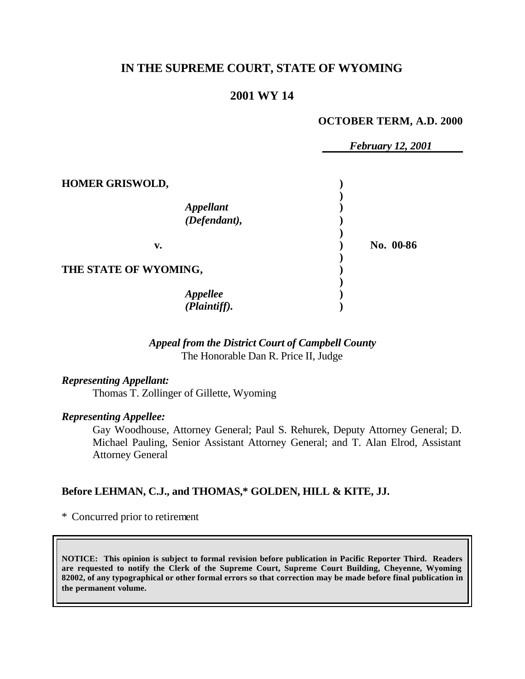## **IN THE SUPREME COURT, STATE OF WYOMING**

### **2001 WY 14**

#### **OCTOBER TERM, A.D. 2000**

*February 12, 2001*

| <b>HOMER GRISWOLD,</b>           |           |
|----------------------------------|-----------|
| <b>Appellant</b><br>(Defendant), |           |
| v.                               | No. 00-86 |
| THE STATE OF WYOMING,            |           |
| Appellee<br>(Plaintiff).         |           |

#### *Appeal from the District Court of Campbell County* The Honorable Dan R. Price II, Judge

*Representing Appellant:* Thomas T. Zollinger of Gillette, Wyoming

#### *Representing Appellee:*

Gay Woodhouse, Attorney General; Paul S. Rehurek, Deputy Attorney General; D. Michael Pauling, Senior Assistant Attorney General; and T. Alan Elrod, Assistant Attorney General

#### **Before LEHMAN, C.J., and THOMAS,\* GOLDEN, HILL & KITE, JJ.**

\* Concurred prior to retirement

**NOTICE: This opinion is subject to formal revision before publication in Pacific Reporter Third. Readers are requested to notify the Clerk of the Supreme Court, Supreme Court Building, Cheyenne, Wyoming 82002, of any typographical or other formal errors so that correction may be made before final publication in the permanent volume.**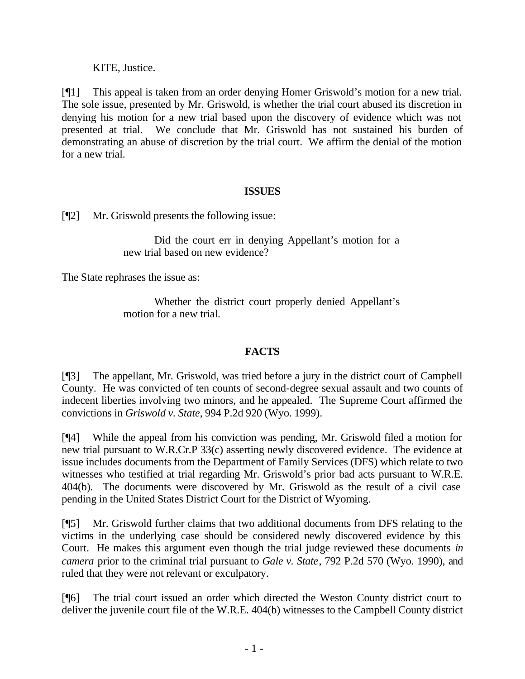KITE, Justice.

[¶1] This appeal is taken from an order denying Homer Griswold's motion for a new trial. The sole issue, presented by Mr. Griswold, is whether the trial court abused its discretion in denying his motion for a new trial based upon the discovery of evidence which was not presented at trial. We conclude that Mr. Griswold has not sustained his burden of demonstrating an abuse of discretion by the trial court. We affirm the denial of the motion for a new trial.

### **ISSUES**

[¶2] Mr. Griswold presents the following issue:

Did the court err in denying Appellant's motion for a new trial based on new evidence?

The State rephrases the issue as:

Whether the district court properly denied Appellant's motion for a new trial.

### **FACTS**

[¶3] The appellant, Mr. Griswold, was tried before a jury in the district court of Campbell County. He was convicted of ten counts of second-degree sexual assault and two counts of indecent liberties involving two minors, and he appealed. The Supreme Court affirmed the convictions in *Griswold v. State*, 994 P.2d 920 (Wyo. 1999).

[¶4] While the appeal from his conviction was pending, Mr. Griswold filed a motion for new trial pursuant to W.R.Cr.P 33(c) asserting newly discovered evidence. The evidence at issue includes documents from the Department of Family Services (DFS) which relate to two witnesses who testified at trial regarding Mr. Griswold's prior bad acts pursuant to W.R.E. 404(b). The documents were discovered by Mr. Griswold as the result of a civil case pending in the United States District Court for the District of Wyoming.

[¶5] Mr. Griswold further claims that two additional documents from DFS relating to the victims in the underlying case should be considered newly discovered evidence by this Court. He makes this argument even though the trial judge reviewed these documents *in camera* prior to the criminal trial pursuant to *Gale v. State*, 792 P.2d 570 (Wyo. 1990), and ruled that they were not relevant or exculpatory.

[¶6] The trial court issued an order which directed the Weston County district court to deliver the juvenile court file of the W.R.E. 404(b) witnesses to the Campbell County district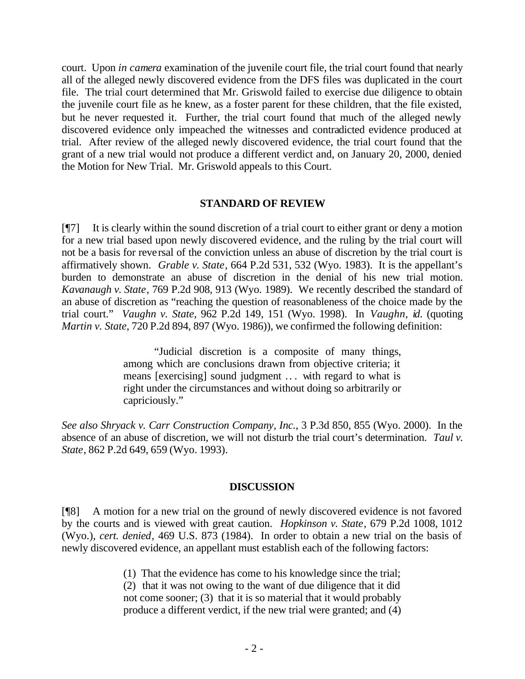court. Upon *in camera* examination of the juvenile court file, the trial court found that nearly all of the alleged newly discovered evidence from the DFS files was duplicated in the court file. The trial court determined that Mr. Griswold failed to exercise due diligence to obtain the juvenile court file as he knew, as a foster parent for these children, that the file existed, but he never requested it. Further, the trial court found that much of the alleged newly discovered evidence only impeached the witnesses and contradicted evidence produced at trial. After review of the alleged newly discovered evidence, the trial court found that the grant of a new trial would not produce a different verdict and, on January 20, 2000, denied the Motion for New Trial. Mr. Griswold appeals to this Court.

#### **STANDARD OF REVIEW**

[¶7] It is clearly within the sound discretion of a trial court to either grant or deny a motion for a new trial based upon newly discovered evidence, and the ruling by the trial court will not be a basis for reversal of the conviction unless an abuse of discretion by the trial court is affirmatively shown. *Grable v. State*, 664 P.2d 531, 532 (Wyo. 1983). It is the appellant's burden to demonstrate an abuse of discretion in the denial of his new trial motion. *Kavanaugh v. State*, 769 P.2d 908, 913 (Wyo. 1989). We recently described the standard of an abuse of discretion as "reaching the question of reasonableness of the choice made by the trial court." *Vaughn v. State*, 962 P.2d 149, 151 (Wyo. 1998). In *Vaughn, id.* (quoting *Martin v. State*, 720 P.2d 894, 897 (Wyo. 1986)), we confirmed the following definition:

> "Judicial discretion is a composite of many things, among which are conclusions drawn from objective criteria; it means [exercising] sound judgment .. . with regard to what is right under the circumstances and without doing so arbitrarily or capriciously."

*See also Shryack v. Carr Construction Company, Inc.*, 3 P.3d 850, 855 (Wyo. 2000). In the absence of an abuse of discretion, we will not disturb the trial court's determination. *Taul v. State*, 862 P.2d 649, 659 (Wyo. 1993).

#### **DISCUSSION**

[¶8] A motion for a new trial on the ground of newly discovered evidence is not favored by the courts and is viewed with great caution. *Hopkinson v. State*, 679 P.2d 1008, 1012 (Wyo.), *cert. denied*, 469 U.S. 873 (1984). In order to obtain a new trial on the basis of newly discovered evidence, an appellant must establish each of the following factors:

(1) That the evidence has come to his knowledge since the trial;

(2) that it was not owing to the want of due diligence that it did not come sooner; (3) that it is so material that it would probably produce a different verdict, if the new trial were granted; and (4)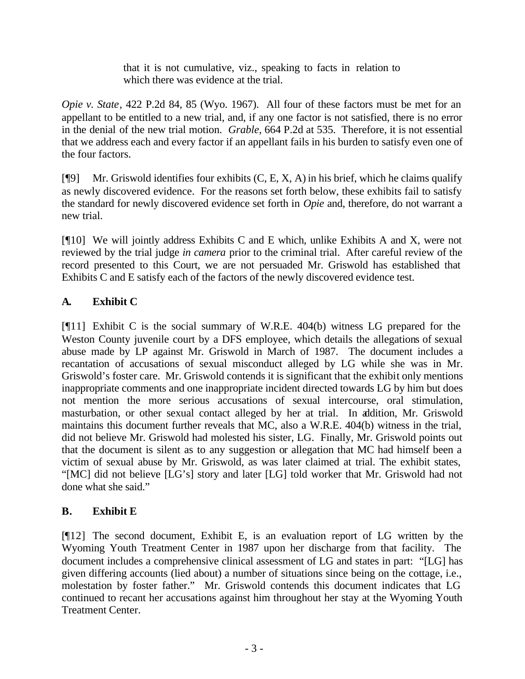that it is not cumulative, viz., speaking to facts in relation to which there was evidence at the trial.

*Opie v. State*, 422 P.2d 84, 85 (Wyo. 1967). All four of these factors must be met for an appellant to be entitled to a new trial, and, if any one factor is not satisfied, there is no error in the denial of the new trial motion. *Grable*, 664 P.2d at 535. Therefore, it is not essential that we address each and every factor if an appellant fails in his burden to satisfy even one of the four factors.

[ $[$ [9] Mr. Griswold identifies four exhibits  $(C, E, X, A)$  in his brief, which he claims qualify as newly discovered evidence. For the reasons set forth below, these exhibits fail to satisfy the standard for newly discovered evidence set forth in *Opie* and, therefore, do not warrant a new trial.

 $[$ [[10] We will jointly address Exhibits C and E which, unlike Exhibits A and X, were not reviewed by the trial judge *in camera* prior to the criminal trial. After careful review of the record presented to this Court, we are not persuaded Mr. Griswold has established that Exhibits C and E satisfy each of the factors of the newly discovered evidence test.

# **A. Exhibit C**

[¶11] Exhibit C is the social summary of W.R.E. 404(b) witness LG prepared for the Weston County juvenile court by a DFS employee, which details the allegations of sexual abuse made by LP against Mr. Griswold in March of 1987. The document includes a recantation of accusations of sexual misconduct alleged by LG while she was in Mr. Griswold's foster care. Mr. Griswold contends it is significant that the exhibit only mentions inappropriate comments and one inappropriate incident directed towards LG by him but does not mention the more serious accusations of sexual intercourse, oral stimulation, masturbation, or other sexual contact alleged by her at trial. In addition, Mr. Griswold maintains this document further reveals that MC, also a W.R.E. 404(b) witness in the trial, did not believe Mr. Griswold had molested his sister, LG. Finally, Mr. Griswold points out that the document is silent as to any suggestion or allegation that MC had himself been a victim of sexual abuse by Mr. Griswold, as was later claimed at trial. The exhibit states, "[MC] did not believe [LG's] story and later [LG] told worker that Mr. Griswold had not done what she said."

# **B. Exhibit E**

[¶12] The second document, Exhibit E, is an evaluation report of LG written by the Wyoming Youth Treatment Center in 1987 upon her discharge from that facility. The document includes a comprehensive clinical assessment of LG and states in part: "[LG] has given differing accounts (lied about) a number of situations since being on the cottage, i.e., molestation by foster father." Mr. Griswold contends this document indicates that LG continued to recant her accusations against him throughout her stay at the Wyoming Youth Treatment Center.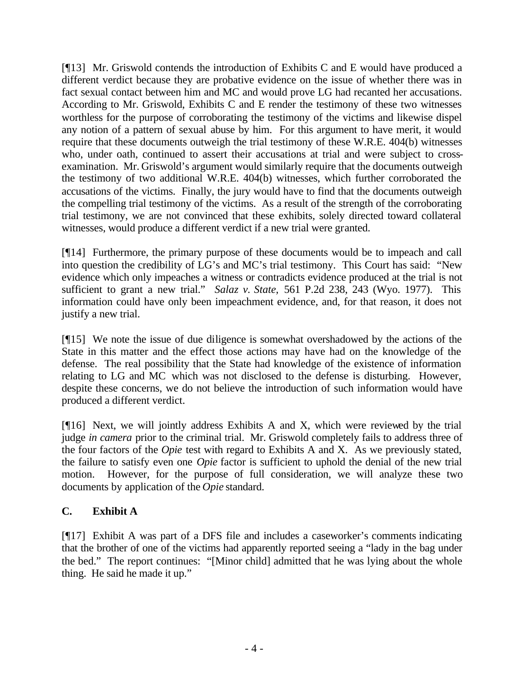[¶13] Mr. Griswold contends the introduction of Exhibits C and E would have produced a different verdict because they are probative evidence on the issue of whether there was in fact sexual contact between him and MC and would prove LG had recanted her accusations. According to Mr. Griswold, Exhibits C and E render the testimony of these two witnesses worthless for the purpose of corroborating the testimony of the victims and likewise dispel any notion of a pattern of sexual abuse by him. For this argument to have merit, it would require that these documents outweigh the trial testimony of these W.R.E. 404(b) witnesses who, under oath, continued to assert their accusations at trial and were subject to crossexamination. Mr. Griswold's argument would similarly require that the documents outweigh the testimony of two additional W.R.E. 404(b) witnesses, which further corroborated the accusations of the victims. Finally, the jury would have to find that the documents outweigh the compelling trial testimony of the victims. As a result of the strength of the corroborating trial testimony, we are not convinced that these exhibits, solely directed toward collateral witnesses, would produce a different verdict if a new trial were granted.

[¶14] Furthermore, the primary purpose of these documents would be to impeach and call into question the credibility of LG's and MC's trial testimony. This Court has said: "New evidence which only impeaches a witness or contradicts evidence produced at the trial is not sufficient to grant a new trial." *Salaz v. State,* 561 P.2d 238, 243 (Wyo. 1977). This information could have only been impeachment evidence, and, for that reason, it does not justify a new trial.

[¶15] We note the issue of due diligence is somewhat overshadowed by the actions of the State in this matter and the effect those actions may have had on the knowledge of the defense. The real possibility that the State had knowledge of the existence of information relating to LG and MC which was not disclosed to the defense is disturbing. However, despite these concerns, we do not believe the introduction of such information would have produced a different verdict.

[¶16] Next, we will jointly address Exhibits A and X, which were reviewed by the trial judge *in camera* prior to the criminal trial. Mr. Griswold completely fails to address three of the four factors of the *Opie* test with regard to Exhibits A and X. As we previously stated, the failure to satisfy even one *Opie* factor is sufficient to uphold the denial of the new trial motion. However, for the purpose of full consideration, we will analyze these two documents by application of the *Opie* standard.

# **C. Exhibit A**

[¶17] Exhibit A was part of a DFS file and includes a caseworker's comments indicating that the brother of one of the victims had apparently reported seeing a "lady in the bag under the bed." The report continues: "[Minor child] admitted that he was lying about the whole thing. He said he made it up."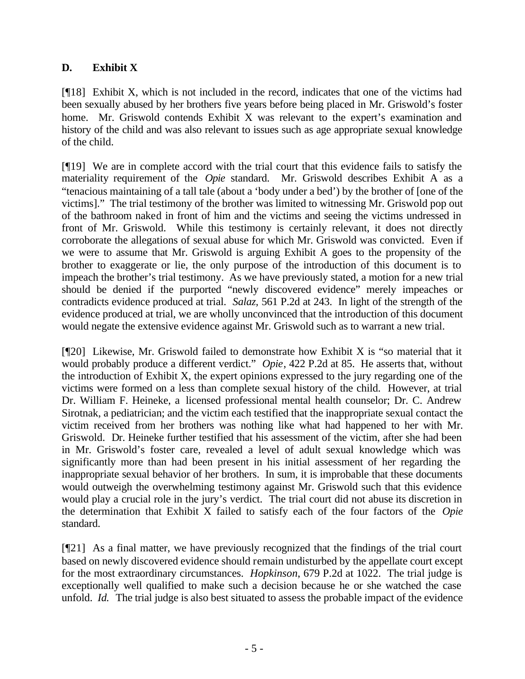### **D. Exhibit X**

[¶18] Exhibit X, which is not included in the record, indicates that one of the victims had been sexually abused by her brothers five years before being placed in Mr. Griswold's foster home. Mr. Griswold contends Exhibit X was relevant to the expert's examination and history of the child and was also relevant to issues such as age appropriate sexual knowledge of the child.

[¶19] We are in complete accord with the trial court that this evidence fails to satisfy the materiality requirement of the *Opie* standard. Mr. Griswold describes Exhibit A as a "tenacious maintaining of a tall tale (about a 'body under a bed') by the brother of [one of the victims]." The trial testimony of the brother was limited to witnessing Mr. Griswold pop out of the bathroom naked in front of him and the victims and seeing the victims undressed in front of Mr. Griswold. While this testimony is certainly relevant, it does not directly corroborate the allegations of sexual abuse for which Mr. Griswold was convicted. Even if we were to assume that Mr. Griswold is arguing Exhibit A goes to the propensity of the brother to exaggerate or lie, the only purpose of the introduction of this document is to impeach the brother's trial testimony. As we have previously stated, a motion for a new trial should be denied if the purported "newly discovered evidence" merely impeaches or contradicts evidence produced at trial. *Salaz,* 561 P.2d at 243. In light of the strength of the evidence produced at trial, we are wholly unconvinced that the introduction of this document would negate the extensive evidence against Mr. Griswold such as to warrant a new trial.

 $[$ [[20] Likewise, Mr. Griswold failed to demonstrate how Exhibit X is "so material that it would probably produce a different verdict." *Opie*, 422 P.2d at 85. He asserts that, without the introduction of Exhibit X, the expert opinions expressed to the jury regarding one of the victims were formed on a less than complete sexual history of the child. However, at trial Dr. William F. Heineke, a licensed professional mental health counselor; Dr. C. Andrew Sirotnak, a pediatrician; and the victim each testified that the inappropriate sexual contact the victim received from her brothers was nothing like what had happened to her with Mr. Griswold. Dr. Heineke further testified that his assessment of the victim, after she had been in Mr. Griswold's foster care, revealed a level of adult sexual knowledge which was significantly more than had been present in his initial assessment of her regarding the inappropriate sexual behavior of her brothers. In sum, it is improbable that these documents would outweigh the overwhelming testimony against Mr. Griswold such that this evidence would play a crucial role in the jury's verdict. The trial court did not abuse its discretion in the determination that Exhibit X failed to satisfy each of the four factors of the *Opie* standard.

[¶21] As a final matter, we have previously recognized that the findings of the trial court based on newly discovered evidence should remain undisturbed by the appellate court except for the most extraordinary circumstances. *Hopkinson*, 679 P.2d at 1022. The trial judge is exceptionally well qualified to make such a decision because he or she watched the case unfold. *Id.* The trial judge is also best situated to assess the probable impact of the evidence